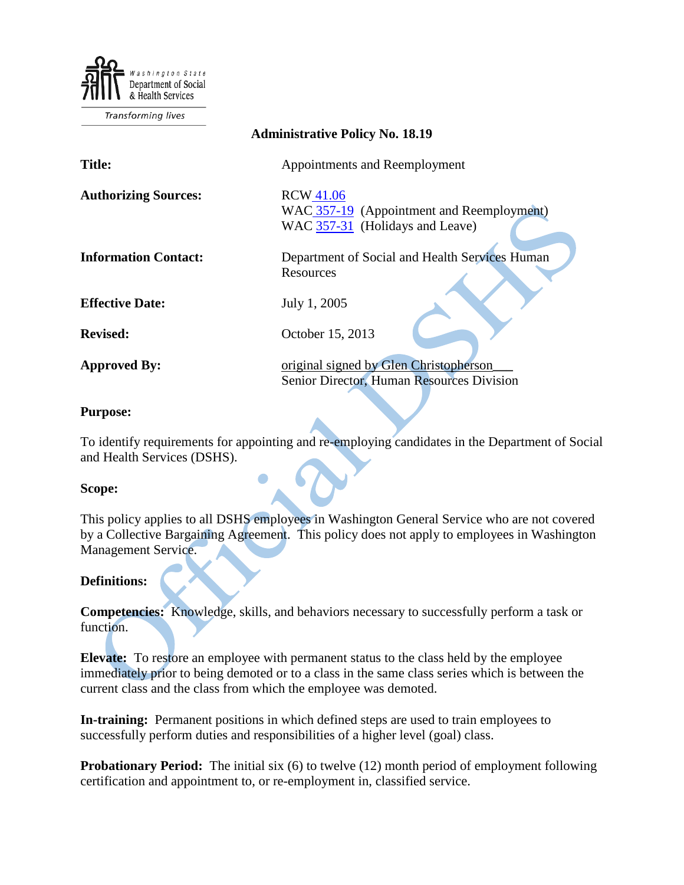Department of Social & Health Services

**Transforming lives** 

#### **Administrative Policy No. 18.19**

**Title:** Appointments and Reemployment Authorizing Sources: RCW [41.06](http://apps.leg.wa.gov/RCW/default.aspx?cite=41.06) WAC [357-19](http://apps.leg.wa.gov/WAC/default.aspx?cite=357-19) (Appointment and Reemployment) WAC [357-31](http://apps.leg.wa.gov/WAC/default.aspx?cite=357-31) (Holidays and Leave) **Information Contact:** Department of Social and Health Services Human Resources

**Effective Date:** July 1, 2005

**Revised:** October 15, 2013

**Approved By:** original signed by Glen Christopherson Senior Director, Human Resources Division

#### **Purpose:**

To identify requirements for appointing and re-employing candidates in the Department of Social and Health Services (DSHS).

#### **Scope:**

This policy applies to all DSHS employees in Washington General Service who are not covered by a Collective Bargaining Agreement. This policy does not apply to employees in Washington Management Service.

#### **Definitions:**

**Competencies:** Knowledge, skills, and behaviors necessary to successfully perform a task or function.

**Elevate:** To restore an employee with permanent status to the class held by the employee immediately prior to being demoted or to a class in the same class series which is between the current class and the class from which the employee was demoted.

**In-training:** Permanent positions in which defined steps are used to train employees to successfully perform duties and responsibilities of a higher level (goal) class.

**Probationary Period:** The initial six (6) to twelve (12) month period of employment following certification and appointment to, or re-employment in, classified service.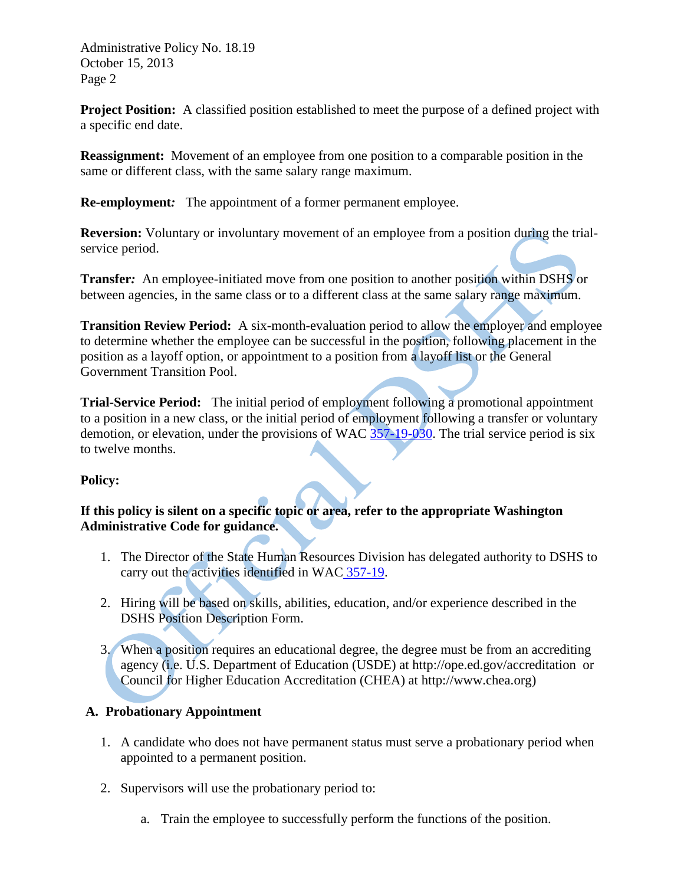**Project Position:** A classified position established to meet the purpose of a defined project with a specific end date.

**Reassignment:** Movement of an employee from one position to a comparable position in the same or different class, with the same salary range maximum.

**Re-employment***:* The appointment of a former permanent employee.

**Reversion:** Voluntary or involuntary movement of an employee from a position during the trialservice period.

**Transfer***:* An employee-initiated move from one position to another position within DSHS or between agencies, in the same class or to a different class at the same salary range maximum.

**Transition Review Period:** A six-month-evaluation period to allow the employer and employee to determine whether the employee can be successful in the position, following placement in the position as a layoff option, or appointment to a position from a layoff list or the General Government Transition Pool.

**Trial-Service Period:** The initial period of employment following a promotional appointment to a position in a new class, or the initial period of employment following a transfer or voluntary demotion, or elevation, under the provisions of WAC  $\frac{357-19-030}{257}$ . The trial service period is six to twelve months.

## **Policy:**

## **If this policy is silent on a specific topic or area, refer to the appropriate Washington Administrative Code for guidance.**

- 1. The Director of the State Human Resources Division has delegated authority to DSHS to carry out the activities identified in WAC [357-19.](http://apps.leg.wa.gov/WAC/default.aspx?cite=357-19)
- 2. Hiring will be based on skills, abilities, education, and/or experience described in the DSHS Position Description Form.
- 3. When a position requires an educational degree, the degree must be from an accrediting agency (i.e. U.S. Department of Education (USDE) at http://ope.ed.gov/accreditation or Council for Higher Education Accreditation (CHEA) at http://www.chea.org)

## **A. Probationary Appointment**

- 1. A candidate who does not have permanent status must serve a probationary period when appointed to a permanent position.
- 2. Supervisors will use the probationary period to:
	- a. Train the employee to successfully perform the functions of the position.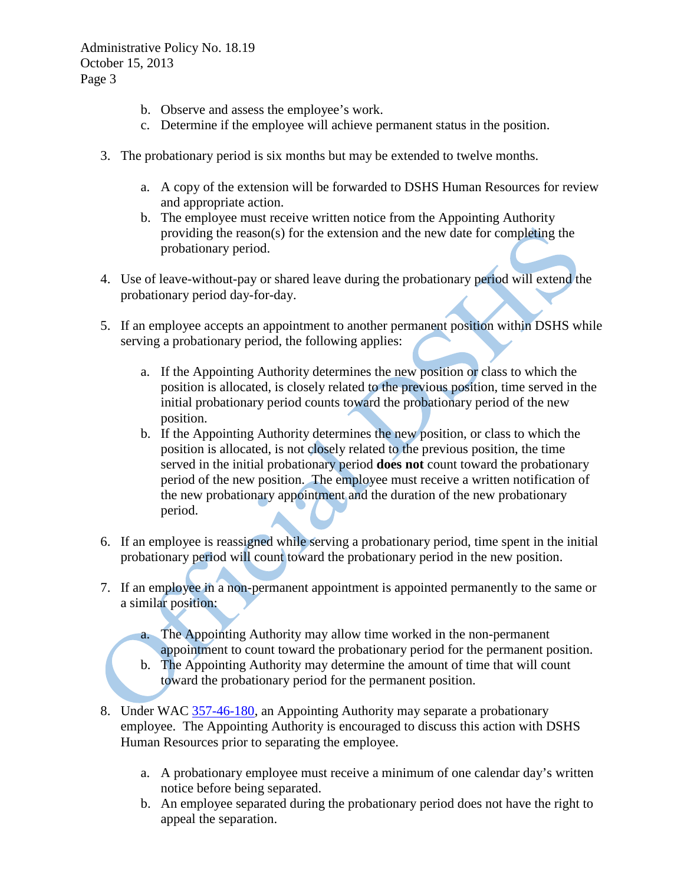- b. Observe and assess the employee's work.
- c. Determine if the employee will achieve permanent status in the position.
- 3. The probationary period is six months but may be extended to twelve months.
	- a. A copy of the extension will be forwarded to DSHS Human Resources for review and appropriate action.
	- b. The employee must receive written notice from the Appointing Authority providing the reason(s) for the extension and the new date for completing the probationary period.
- 4. Use of leave-without-pay or shared leave during the probationary period will extend the probationary period day-for-day.
- 5. If an employee accepts an appointment to another permanent position within DSHS while serving a probationary period, the following applies:
	- a. If the Appointing Authority determines the new position or class to which the position is allocated, is closely related to the previous position, time served in the initial probationary period counts toward the probationary period of the new position.
	- b. If the Appointing Authority determines the new position, or class to which the position is allocated, is not closely related to the previous position, the time served in the initial probationary period **does not** count toward the probationary period of the new position.The employee must receive a written notification of the new probationary appointment and the duration of the new probationary period.
- 6. If an employee is reassigned while serving a probationary period, time spent in the initial probationary period will count toward the probationary period in the new position.
- 7. If an employee in a non-permanent appointment is appointed permanently to the same or a similar position:
	- a. The Appointing Authority may allow time worked in the non-permanent appointment to count toward the probationary period for the permanent position.
	- b. The Appointing Authority may determine the amount of time that will count toward the probationary period for the permanent position.
- 8. Under WAC [357-46-180,](http://apps.leg.wa.gov/WAC/default.aspx?cite=357-46-195) an Appointing Authority may separate a probationary employee. The Appointing Authority is encouraged to discuss this action with DSHS Human Resources prior to separating the employee.
	- a. A probationary employee must receive a minimum of one calendar day's written notice before being separated.
	- b. An employee separated during the probationary period does not have the right to appeal the separation.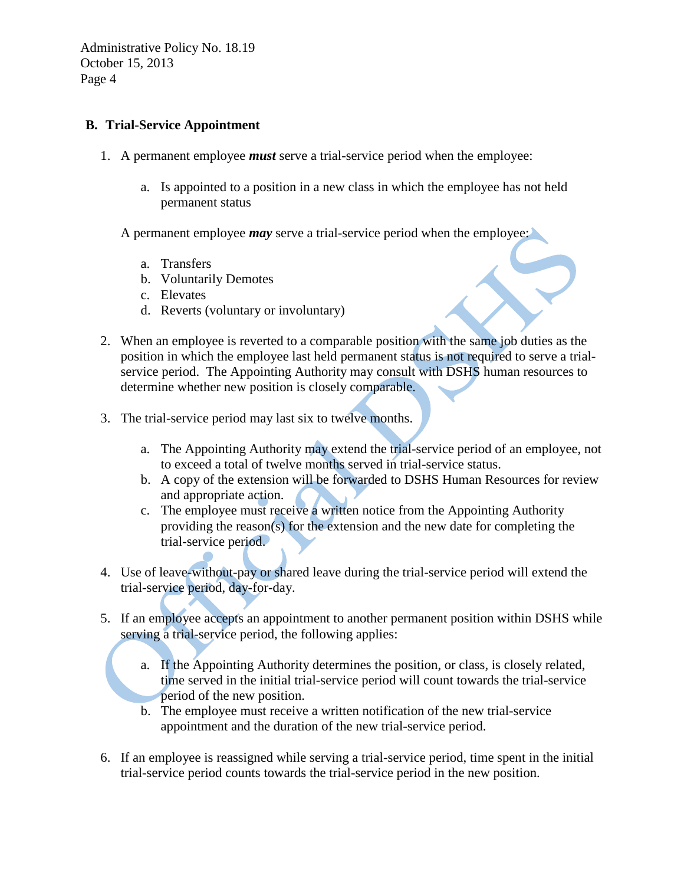#### **B. Trial-Service Appointment**

- 1. A permanent employee *must* serve a trial-service period when the employee:
	- a. Is appointed to a position in a new class in which the employee has not held permanent status
	- A permanent employee *may* serve a trial-service period when the employee:
		- a. Transfers
		- b. Voluntarily Demotes
		- c. Elevates
		- d. Reverts (voluntary or involuntary)
- 2. When an employee is reverted to a comparable position with the same job duties as the position in which the employee last held permanent status is not required to serve a trialservice period. The Appointing Authority may consult with DSHS human resources to determine whether new position is closely comparable.
- 3. The trial-service period may last six to twelve months.
	- a. The Appointing Authority may extend the trial-service period of an employee, not to exceed a total of twelve months served in trial-service status.
	- b. A copy of the extension will be forwarded to DSHS Human Resources for review and appropriate action.
	- c. The employee must receive a written notice from the Appointing Authority providing the reason(s) for the extension and the new date for completing the trial-service period.
- 4. Use of leave-without-pay or shared leave during the trial-service period will extend the trial-service period, day-for-day.
- 5. If an employee accepts an appointment to another permanent position within DSHS while serving a trial-service period, the following applies:
	- a. If the Appointing Authority determines the position, or class, is closely related, time served in the initial trial-service period will count towards the trial-service period of the new position.
	- b. The employee must receive a written notification of the new trial-service appointment and the duration of the new trial-service period.
- 6. If an employee is reassigned while serving a trial-service period, time spent in the initial trial-service period counts towards the trial-service period in the new position.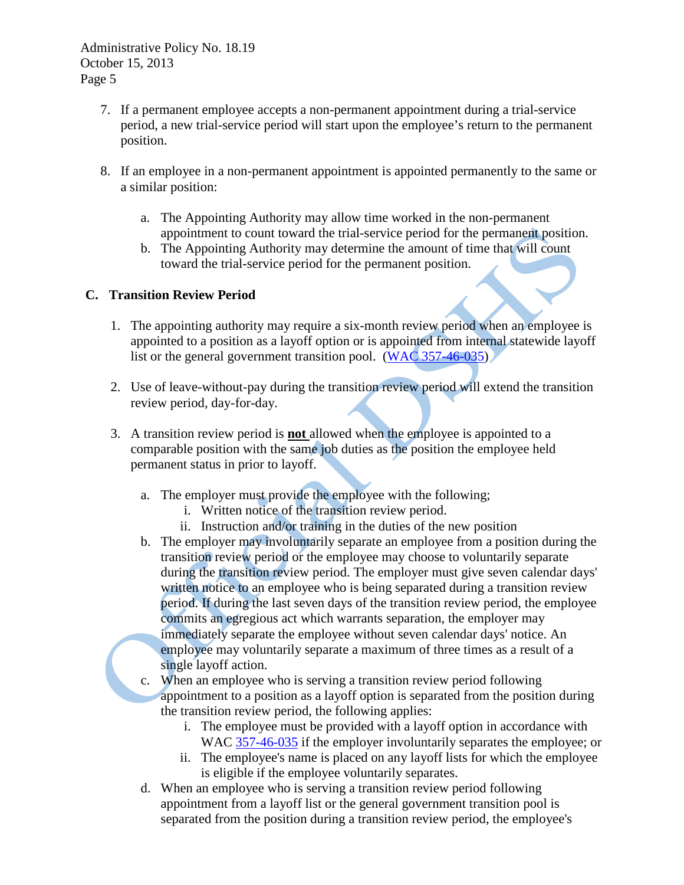- 7. If a permanent employee accepts a non-permanent appointment during a trial-service period, a new trial-service period will start upon the employee's return to the permanent position.
- 8. If an employee in a non-permanent appointment is appointed permanently to the same or a similar position:
	- a. The Appointing Authority may allow time worked in the non-permanent appointment to count toward the trial-service period for the permanent position.
	- b. The Appointing Authority may determine the amount of time that will count toward the trial-service period for the permanent position.

## **C. Transition Review Period**

- 1. The appointing authority may require a six-month review period when an employee is appointed to a position as a layoff option or is appointed from internal statewide layoff list or the general government transition pool. [\(WAC 357-46-035\)](http://apps.leg.wa.gov/WAC/default.aspx?cite=357-46-035)
- 2. Use of leave-without-pay during the transition review period will extend the transition review period, day-for-day.
- 3. A transition review period is **not** allowed when the employee is appointed to a comparable position with the same job duties as the position the employee held permanent status in prior to layoff.
	- a. The employer must provide the employee with the following;
		- i. Written notice of the transition review period.
		- ii. Instruction and/or training in the duties of the new position
	- b. The employer may involuntarily separate an employee from a position during the transition review period or the employee may choose to voluntarily separate during the transition review period. The employer must give seven calendar days' written notice to an employee who is being separated during a transition review period. If during the last seven days of the transition review period, the employee commits an egregious act which warrants separation, the employer may immediately separate the employee without seven calendar days' notice. An employee may voluntarily separate a maximum of three times as a result of a single layoff action.
	- c. When an employee who is serving a transition review period following appointment to a position as a layoff option is separated from the position during the transition review period, the following applies:
		- i. The employee must be provided with a layoff option in accordance with WAC [357-46-035](http://apps.leg.wa.gov/WAC/default.aspx?cite=357-46-035) if the employer involuntarily separates the employee; or
		- ii. The employee's name is placed on any layoff lists for which the employee is eligible if the employee voluntarily separates.
	- d. When an employee who is serving a transition review period following appointment from a layoff list or the general government transition pool is separated from the position during a transition review period, the employee's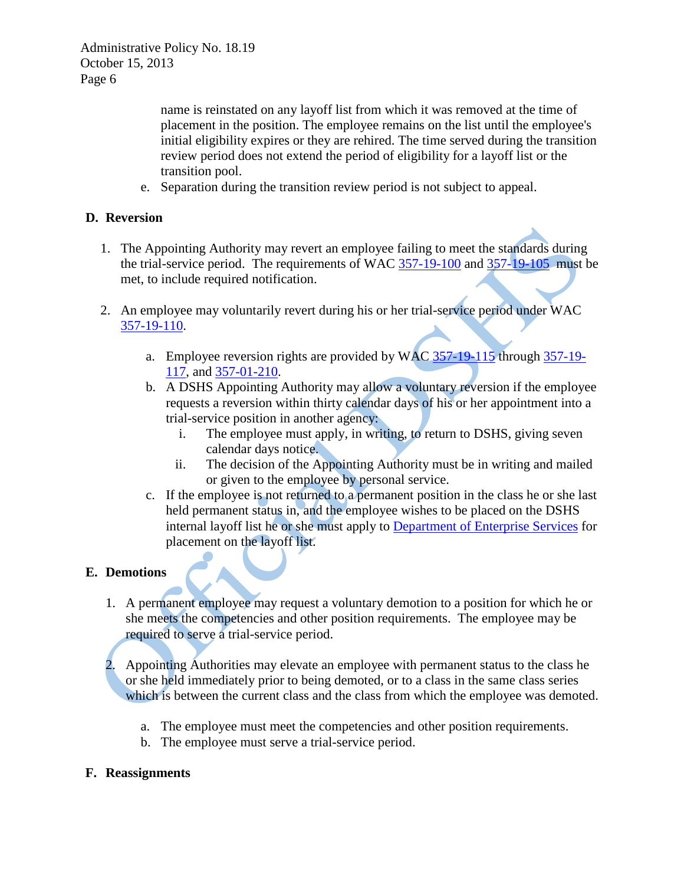name is reinstated on any layoff list from which it was removed at the time of placement in the position. The employee remains on the list until the employee's initial eligibility expires or they are rehired. The time served during the transition review period does not extend the period of eligibility for a layoff list or the transition pool.

e. Separation during the transition review period is not subject to appeal.

## **D. Reversion**

- 1. The Appointing Authority may revert an employee failing to meet the standards during the trial-service period. The requirements of WAC [357-19-100](http://apps.leg.wa.gov/WAC/default.aspx?cite=357-19-105) and [357-19-105](http://apps.leg.wa.gov/WAC/default.aspx?cite=357-31) must be met, to include required notification.
- 2. An employee may voluntarily revert during his or her trial-service period under WAC [357-19-110.](http://apps.leg.wa.gov/WAC/default.aspx?cite=357-19-110)
	- a. Employee reversion rights are provided by WAC [357-19-115](http://apps.leg.wa.gov/WAC/default.aspx?cite=357-19-115) through [357-19-](http://apps.leg.wa.gov/WAC/default.aspx?cite=357-19-117) [117,](http://apps.leg.wa.gov/WAC/default.aspx?cite=357-19-117) and [357-01-210.](http://apps.leg.wa.gov/WAC/default.aspx?cite=357-01-210)
	- b. A DSHS Appointing Authority may allow a voluntary reversion if the employee requests a reversion within thirty calendar days of his or her appointment into a trial-service position in another agency:
		- i. The employee must apply, in writing, to return to DSHS, giving seven calendar days notice.
		- ii. The decision of the Appointing Authority must be in writing and mailed or given to the employee by personal service.
	- c. If the employee is not returned to a permanent position in the class he or she last held permanent status in, and the employee wishes to be placed on the DSHS internal layoff list he or she must apply to [Department of Enterprise Services](http://hr.wa.gov/more/LayoffSupport/EmployeeLayoffInfo/Pages/LayoffListsandGGTP.aspx) for placement on the layoff list.

## **E. Demotions**

- 1. A permanent employee may request a voluntary demotion to a position for which he or she meets the competencies and other position requirements. The employee may be required to serve a trial-service period.
- 2. Appointing Authorities may elevate an employee with permanent status to the class he or she held immediately prior to being demoted, or to a class in the same class series which is between the current class and the class from which the employee was demoted.
	- a. The employee must meet the competencies and other position requirements.
	- b. The employee must serve a trial-service period.

## **F. Reassignments**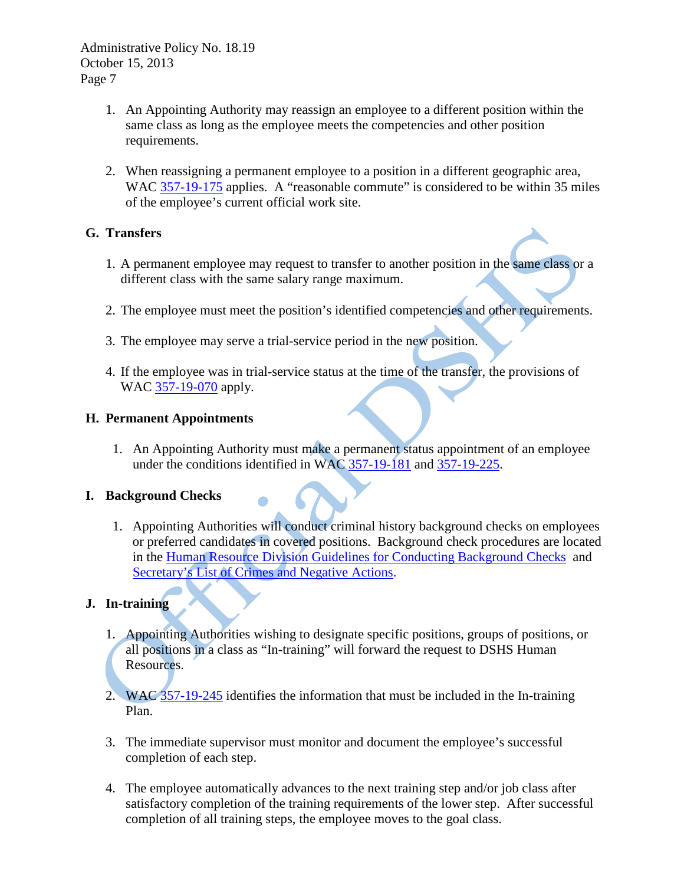- 1. An Appointing Authority may reassign an employee to a different position within the same class as long as the employee meets the competencies and other position requirements.
- 2. When reassigning a permanent employee to a position in a different geographic area, WAC  $\frac{357-19-175}{25}$  applies. A "reasonable commute" is considered to be within 35 miles of the employee's current official work site.

## **G. Transfers**

- 1. A permanent employee may request to transfer to another position in the same class or a different class with the same salary range maximum.
- 2. The employee must meet the position's identified competencies and other requirements.
- 3. The employee may serve a trial-service period in the new position.
- 4. If the employee was in trial-service status at the time of the transfer, the provisions of WAC [357-19-070](http://apps.leg.wa.gov/WAC/default.aspx?cite=357-19-070) apply.

## **H. Permanent Appointments**

1. An Appointing Authority must make a permanent status appointment of an employee under the conditions identified in WAC [357-19-181](http://apps.leg.wa.gov/WAC/default.aspx?cite=357-19-181) and [357-19-225.](http://apps.leg.wa.gov/WAC/default.aspx?cite=357-19-225)

## **I. Background Checks**

1. Appointing Authorities will conduct criminal history background checks on employees or preferred candidates in covered positions. Background check procedures are located in the [Human Resource Division Guidelines for Conducting Background Checks](http://hrd.dshs.wa.gov/Top_Toolbar/Guidlines_and_Best_Practices/documents/background_check_guidelines.doc) and [Secretary's List of Crimes and Negative Actions.](http://one.dshs.wa.lcl/FS/OSS/BCCU/Pages/SecretarysList.aspx)

## **J. In-training**

- 1. Appointing Authorities wishing to designate specific positions, groups of positions, or all positions in a class as "In-training" will forward the request to DSHS Human Resources.
- 2. WAC [357-19-245](http://apps.leg.wa.gov/WAC/default.aspx?cite=357-19-245) identifies the information that must be included in the In-training Plan.
- 3. The immediate supervisor must monitor and document the employee's successful completion of each step.
- 4. The employee automatically advances to the next training step and/or job class after satisfactory completion of the training requirements of the lower step. After successful completion of all training steps, the employee moves to the goal class.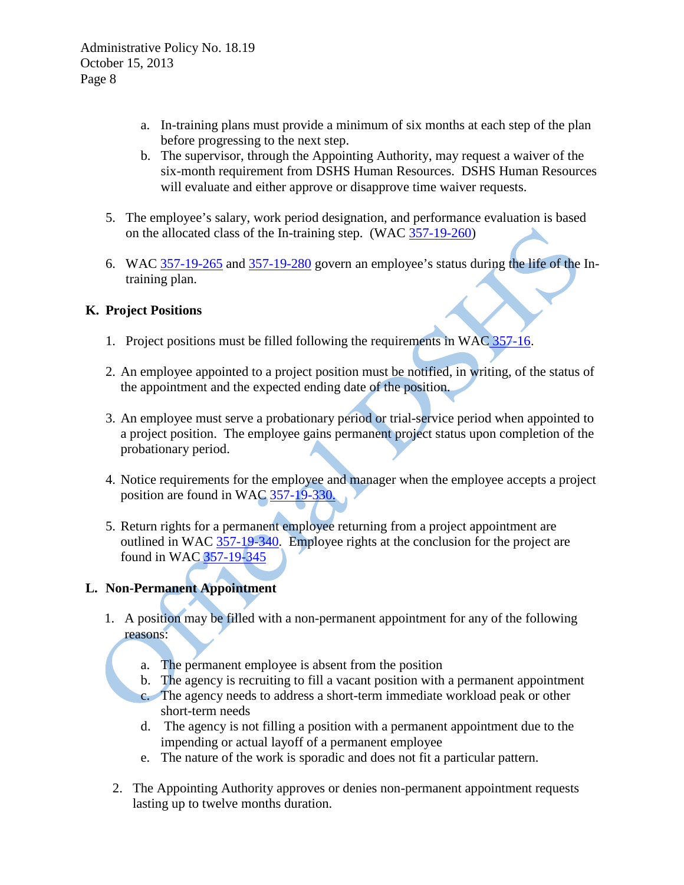- a. In-training plans must provide a minimum of six months at each step of the plan before progressing to the next step.
- b. The supervisor, through the Appointing Authority, may request a waiver of the six-month requirement from DSHS Human Resources. DSHS Human Resources will evaluate and either approve or disapprove time waiver requests.
- 5. The employee's salary, work period designation, and performance evaluation is based on the allocated class of the In-training step. (WAC [357-19-260\)](http://apps.leg.wa.gov/WAC/default.aspx?cite=357-19-260)
- 6. WAC [357-19-265](http://apps.leg.wa.gov/WAC/default.aspx?cite=357-19-265) and [357-19-280](http://apps.leg.wa.gov/WAC/default.aspx?cite=357-19-280) govern an employee's status during the life of the Intraining plan.

## **K. Project Positions**

- 1. Project positions must be filled following the requirements in WAC [357-16.](http://apps.leg.wa.gov/WAC/default.aspx?cite=357-16)
- 2. An employee appointed to a project position must be notified, in writing, of the status of the appointment and the expected ending date of the position.
- 3. An employee must serve a probationary period or trial-service period when appointed to a project position. The employee gains permanent project status upon completion of the probationary period.
- 4. Notice requirements for the employee and manager when the employee accepts a project position are found in WAC [357-19-330.](http://apps.leg.wa.gov/WAC/default.aspx?cite=357-19-330)
- 5. Return rights for a permanent employee returning from a project appointment are outlined in WAC [357-19-340.](http://apps.leg.wa.gov/WAC/default.aspx?cite=357-19-340) Employee rights at the conclusion for the project are found in WAC [357-19-345](http://apps.leg.wa.gov/WAC/default.aspx?cite=357-19-345)

## **L. Non-Permanent Appointment**

- 1. A position may be filled with a non-permanent appointment for any of the following reasons:
	- a. The permanent employee is absent from the position
	- b. The agency is recruiting to fill a vacant position with a permanent appointment
	- c. The agency needs to address a short-term immediate workload peak or other short-term needs
	- d. The agency is not filling a position with a permanent appointment due to the impending or actual layoff of a permanent employee
	- e. The nature of the work is sporadic and does not fit a particular pattern.
	- 2. The Appointing Authority approves or denies non-permanent appointment requests lasting up to twelve months duration.